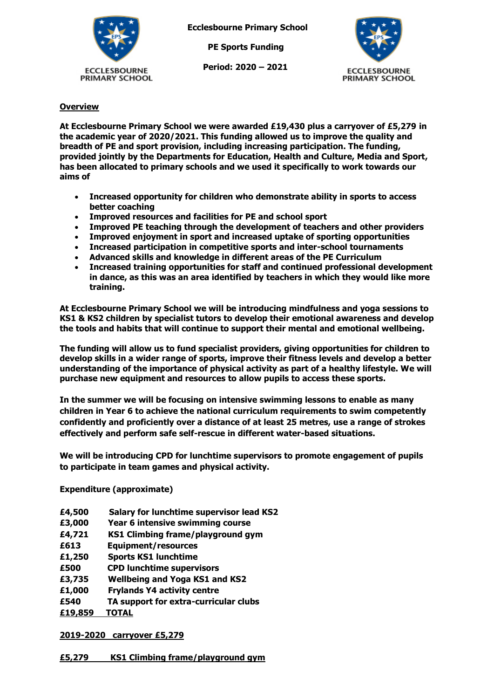

**Ecclesbourne Primary School**

 **PE Sports Funding**

 **Period: 2020 – 2021**



# **Overview**

**At Ecclesbourne Primary School we were awarded £19,430 plus a carryover of £5,279 in the academic year of 2020/2021. This funding allowed us to improve the quality and breadth of PE and sport provision, including increasing participation. The funding, provided jointly by the Departments for Education, Health and Culture, Media and Sport, has been allocated to primary schools and we used it specifically to work towards our aims of** 

- **Increased opportunity for children who demonstrate ability in sports to access better coaching**
- **Improved resources and facilities for PE and school sport**
- **Improved PE teaching through the development of teachers and other providers**
- **Improved enjoyment in sport and increased uptake of sporting opportunities**
- **Increased participation in competitive sports and inter-school tournaments**
- **Advanced skills and knowledge in different areas of the PE Curriculum**
- **Increased training opportunities for staff and continued professional development in dance, as this was an area identified by teachers in which they would like more training.**

**At Ecclesbourne Primary School we will be introducing mindfulness and yoga sessions to KS1 & KS2 children by specialist tutors to develop their emotional awareness and develop the tools and habits that will continue to support their mental and emotional wellbeing.**

**The funding will allow us to fund specialist providers, giving opportunities for children to develop skills in a wider range of sports, improve their fitness levels and develop a better understanding of the importance of physical activity as part of a healthy lifestyle. We will purchase new equipment and resources to allow pupils to access these sports.**

**In the summer we will be focusing on intensive swimming lessons to enable as many children in Year 6 to achieve the national curriculum requirements to swim competently confidently and proficiently over a distance of at least 25 metres, use a range of strokes effectively and perform safe self-rescue in different water-based situations.**

**We will be introducing CPD for lunchtime supervisors to promote engagement of pupils to participate in team games and physical activity.**

## **Expenditure (approximate)**

- **£4,500 Salary for lunchtime supervisor lead KS2**
- **£3,000 Year 6 intensive swimming course**
- **£4,721 KS1 Climbing frame/playground gym**
- **£613 Equipment/resources**
- **£1,250 Sports KS1 lunchtime**
- **£500 CPD lunchtime supervisors**
- **£3,735 Wellbeing and Yoga KS1 and KS2**
- **£1,000 Frylands Y4 activity centre**
- **£540 TA support for extra-curricular clubs**
- **£19,859 TOTAL**

## **2019-2020 carryover £5,279**

## **£5,279 KS1 Climbing frame/playground gym**